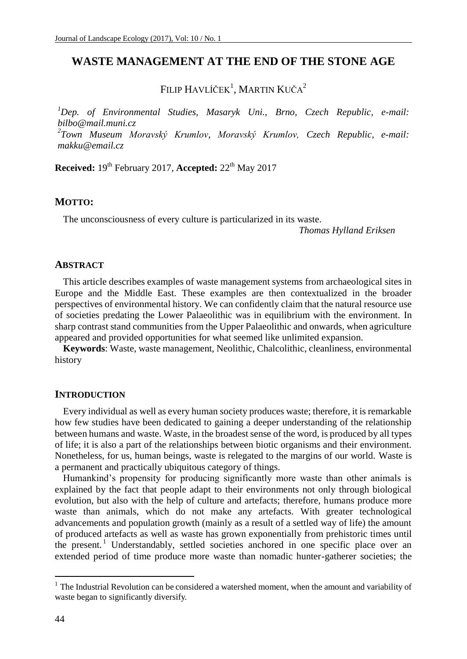# **WASTE MANAGEMENT AT THE END OF THE STONE AGE**

FILIP HAVLÍČEK<sup>1</sup>, MARTIN KUČA<sup>2</sup>

*<sup>1</sup>Dep. of Environmental Studies, Masaryk Uni., Brno, Czech Republic, e-mail: bilbo@mail.muni.cz 2 Town Museum Moravský Krumlov, Moravský Krumlov, Czech Republic, e-mail: makku@email.cz*

**Received:**  $19^{th}$  February 2017, **Accepted:**  $22^{th}$  May 2017

#### **MOTTO:**

The unconsciousness of every culture is particularized in its waste.

*Thomas Hylland Eriksen*

### **ABSTRACT**

This article describes examples of waste management systems from archaeological sites in Europe and the Middle East. These examples are then contextualized in the broader perspectives of environmental history. We can confidently claim that the natural resource use of societies predating the Lower Palaeolithic was in equilibrium with the environment. In sharp contrast stand communities from the Upper Palaeolithic and onwards, when agriculture appeared and provided opportunities for what seemed like unlimited expansion.

**Keywords**: Waste, waste management, Neolithic, Chalcolithic, cleanliness, environmental history

#### **INTRODUCTION**

Every individual as well as every human society produces waste; therefore, it is remarkable how few studies have been dedicated to gaining a deeper understanding of the relationship between humans and waste. Waste, in the broadest sense of the word, is produced by all types of life; it is also a part of the relationships between biotic organisms and their environment. Nonetheless, for us, human beings, waste is relegated to the margins of our world. Waste is a permanent and practically ubiquitous category of things.

Humankind's propensity for producing significantly more waste than other animals is explained by the fact that people adapt to their environments not only through biological evolution, but also with the help of culture and artefacts; therefore, humans produce more waste than animals, which do not make any artefacts. With greater technological advancements and population growth (mainly as a result of a settled way of life) the amount of produced artefacts as well as waste has grown exponentially from prehistoric times until the present.<sup>1</sup> Understandably, settled societies anchored in one specific place over an extended period of time produce more waste than nomadic hunter-gatherer societies; the

 $1$  The Industrial Revolution can be considered a watershed moment, when the amount and variability of waste began to significantly diversify.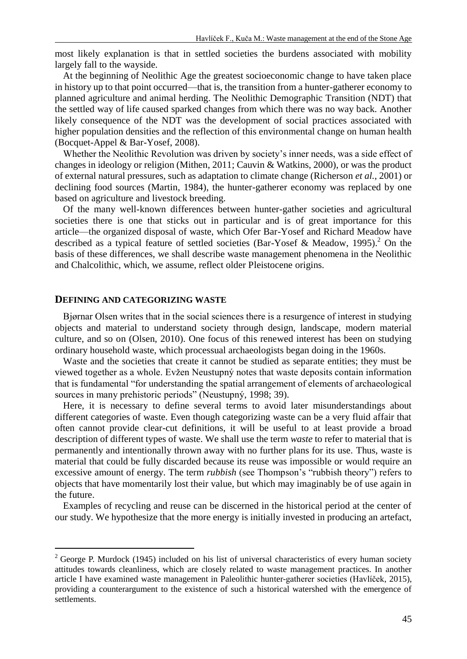most likely explanation is that in settled societies the burdens associated with mobility largely fall to the wayside.

At the beginning of Neolithic Age the greatest socioeconomic change to have taken place in history up to that point occurred—that is, the transition from a hunter-gatherer economy to planned agriculture and animal herding. The Neolithic Demographic Transition (NDT) that the settled way of life caused sparked changes from which there was no way back. Another likely consequence of the NDT was the development of social practices associated with higher population densities and the reflection of this environmental change on human health (Bocquet-Appel & Bar-Yosef, 2008).

Whether the Neolithic Revolution was driven by society's inner needs, was a side effect of changes in ideology or religion (Mithen, 2011; Cauvin & Watkins, 2000), or was the product of external natural pressures, such as adaptation to climate change (Richerson *et al.*, 2001) or declining food sources (Martin, 1984), the hunter-gatherer economy was replaced by one based on agriculture and livestock breeding.

Of the many well-known differences between hunter-gather societies and agricultural societies there is one that sticks out in particular and is of great importance for this article—the organized disposal of waste, which Ofer Bar-Yosef and Richard Meadow have described as a typical feature of settled societies (Bar-Yosef & Meadow, 1995).<sup>2</sup> On the basis of these differences, we shall describe waste management phenomena in the Neolithic and Chalcolithic, which, we assume, reflect older Pleistocene origins.

### **DEFINING AND CATEGORIZING WASTE**

 $\overline{a}$ 

Bjørnar Olsen writes that in the social sciences there is a resurgence of interest in studying objects and material to understand society through design, landscape, modern material culture, and so on (Olsen, 2010). One focus of this renewed interest has been on studying ordinary household waste, which processual archaeologists began doing in the 1960s.

Waste and the societies that create it cannot be studied as separate entities; they must be viewed together as a whole. Evžen Neustupný notes that waste deposits contain information that is fundamental "for understanding the spatial arrangement of elements of archaeological sources in many prehistoric periods" (Neustupný, 1998; 39).

Here, it is necessary to define several terms to avoid later misunderstandings about different categories of waste. Even though categorizing waste can be a very fluid affair that often cannot provide clear-cut definitions, it will be useful to at least provide a broad description of different types of waste. We shall use the term *waste* to refer to material that is permanently and intentionally thrown away with no further plans for its use. Thus, waste is material that could be fully discarded because its reuse was impossible or would require an excessive amount of energy. The term *rubbish* (see Thompson's "rubbish theory") refers to objects that have momentarily lost their value, but which may imaginably be of use again in the future.

Examples of recycling and reuse can be discerned in the historical period at the center of our study. We hypothesize that the more energy is initially invested in producing an artefact,

 $2$  George P. Murdock (1945) included on his list of universal characteristics of every human society attitudes towards cleanliness, which are closely related to waste management practices. In another article I have examined waste management in Paleolithic hunter-gatherer societies (Havlíček, 2015), providing a counterargument to the existence of such a historical watershed with the emergence of settlements.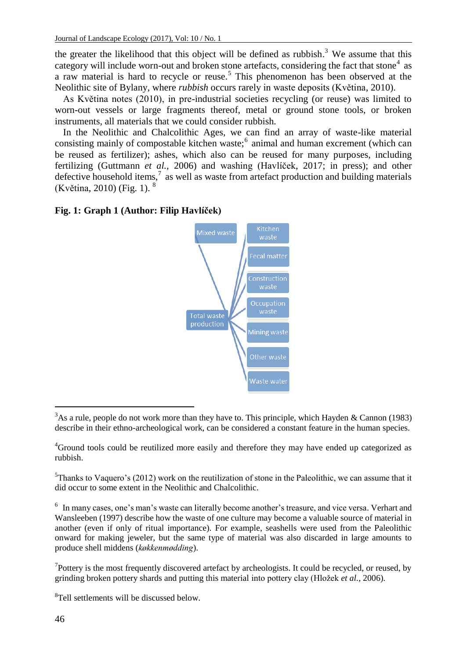the greater the likelihood that this object will be defined as rubbish.<sup>3</sup> We assume that this category will include worn-out and broken stone artefacts, considering the fact that stone<sup>4</sup> as a raw material is hard to recycle or reuse.<sup>5</sup> This phenomenon has been observed at the Neolithic site of Bylany, where *rubbish* occurs rarely in waste deposits (Květina, 2010).

As Květina notes (2010), in pre-industrial societies recycling (or reuse) was limited to worn-out vessels or large fragments thereof, metal or ground stone tools, or broken instruments, all materials that we could consider rubbish.

In the Neolithic and Chalcolithic Ages, we can find an array of waste-like material consisting mainly of compostable kitchen waste;<sup>6</sup> animal and human excrement (which can be reused as fertilizer); ashes, which also can be reused for many purposes, including fertilizing (Guttmann *et al.,* 2006) and washing (Havlíček, 2017; in press); and other defective household items, $^7$  as well as waste from artefact production and building materials (Květina, 2010) (Fig. 1). <sup>8</sup>

## **Fig. 1: Graph 1 (Author: Filip Havlíček)**



l <sup>3</sup>As a rule, people do not work more than they have to. This principle, which Hayden & Cannon (1983) describe in their ethno-archeological work, can be considered a constant feature in the human species.

 $<sup>5</sup>$ Thanks to Vaquero's (2012) work on the reutilization of stone in the Paleolithic, we can assume that it</sup> did occur to some extent in the Neolithic and Chalcolithic.

<sup>6</sup> In many cases, one's man's waste can literally become another's treasure, and vice versa. Verhart and Wansleeben (1997) describe how the waste of one culture may become a valuable source of material in another (even if only of ritual importance). For example, seashells were used from the Paleolithic onward for making jeweler, but the same type of material was also discarded in large amounts to produce shell middens (*køkkenmødding*).

 $7$ Pottery is the most frequently discovered artefact by archeologists. It could be recycled, or reused, by grinding broken pottery shards and putting this material into pottery clay (Hložek *et al.,* 2006).

<sup>8</sup>Tell settlements will be discussed below.

<sup>4</sup>Ground tools could be reutilized more easily and therefore they may have ended up categorized as rubbish.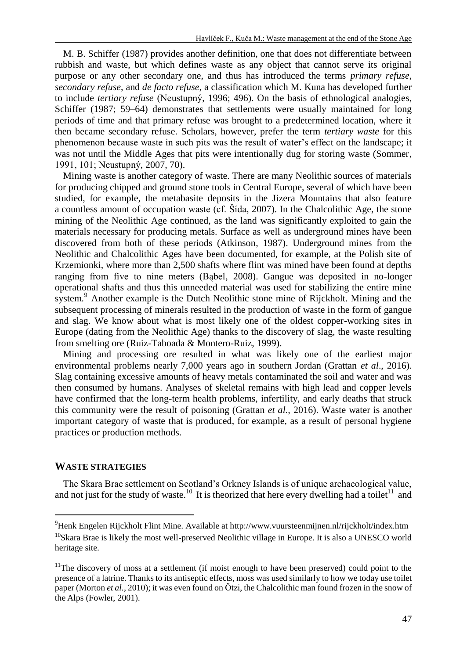M. B. Schiffer (1987) provides another definition, one that does not differentiate between rubbish and waste, but which defines waste as any object that cannot serve its original purpose or any other secondary one, and thus has introduced the terms *primary refuse*, *secondary refuse*, and *de facto refuse*, a classification which M. Kuna has developed further to include *tertiary refuse* (Neustupný, 1996; 496). On the basis of ethnological analogies, Schiffer (1987; 59–64) demonstrates that settlements were usually maintained for long periods of time and that primary refuse was brought to a predetermined location, where it then became secondary refuse. Scholars, however, prefer the term *tertiary waste* for this phenomenon because waste in such pits was the result of water's effect on the landscape; it was not until the Middle Ages that pits were intentionally dug for storing waste (Sommer, 1991, 101; Neustupný, 2007, 70).

Mining waste is another category of waste. There are many Neolithic sources of materials for producing chipped and ground stone tools in Central Europe, several of which have been studied, for example, the metabasite deposits in the Jizera Mountains that also feature a countless amount of occupation waste (cf. Šída, 2007). In the Chalcolithic Age, the stone mining of the Neolithic Age continued, as the land was significantly exploited to gain the materials necessary for producing metals. Surface as well as underground mines have been discovered from both of these periods (Atkinson, 1987). Underground mines from the Neolithic and Chalcolithic Ages have been documented, for example, at the Polish site of Krzemionki, where more than 2,500 shafts where flint was mined have been found at depths ranging from five to nine meters (Bąbel, 2008). Gangue was deposited in no-longer operational shafts and thus this unneeded material was used for stabilizing the entire mine system.<sup>9</sup> Another example is the Dutch Neolithic stone mine of Rijckholt. Mining and the subsequent processing of minerals resulted in the production of waste in the form of gangue and slag. We know about what is most likely one of the oldest copper-working sites in Europe (dating from the Neolithic Age) thanks to the discovery of slag, the waste resulting from smelting ore (Ruiz-Taboada & Montero-Ruiz, 1999).

Mining and processing ore resulted in what was likely one of the earliest major environmental problems nearly 7,000 years ago in southern Jordan (Grattan *et al*., 2016). Slag containing excessive amounts of heavy metals contaminated the soil and water and was then consumed by humans. Analyses of skeletal remains with high lead and copper levels have confirmed that the long-term health problems, infertility, and early deaths that struck this community were the result of poisoning (Grattan *et al.,* 2016). Waste water is another important category of waste that is produced, for example, as a result of personal hygiene practices or production methods.

#### **WASTE STRATEGIES**

 $\overline{a}$ 

The Skara Brae settlement on Scotland's Orkney Islands is of unique archaeological value, and not just for the study of waste.<sup>10</sup> It is theorized that here every dwelling had a toilet<sup>11</sup> and

<sup>9</sup>Henk Engelen Rijckholt Flint Mine. Available at http://www.vuursteenmijnen.nl/rijckholt/index.htm <sup>10</sup>Skara Brae is likely the most well-preserved Neolithic village in Europe. It is also a UNESCO world heritage site.

 $11$ The discovery of moss at a settlement (if moist enough to have been preserved) could point to the presence of a latrine. Thanks to its antiseptic effects, moss was used similarly to how we today use toilet paper (Morton *et al.,* 2010); it was even found o[n Ötzi,](https://cs.wikipedia.org/wiki/Ötzi) the Chalcolithic man found frozen in the snow of the Alps (Fowler, 2001).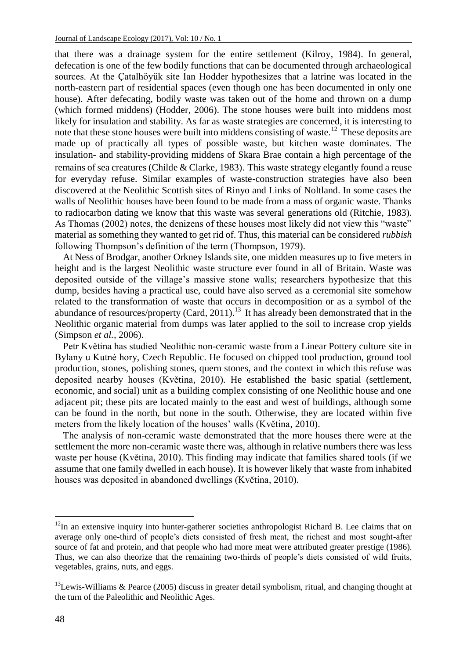that there was a drainage system for the entire settlement (Kilroy, 1984). In general, defecation is one of the few bodily functions that can be documented through archaeological sources. At the Çatalhöyük site Ian Hodder hypothesizes that a latrine was located in the north-eastern part of residential spaces (even though one has been documented in only one house). After defecating, bodily waste was taken out of the home and thrown on a dump (which formed middens) (Hodder, 2006). The stone houses were built into middens most likely for insulation and stability. As far as waste strategies are concerned, it is interesting to note that these stone houses were built into middens consisting of waste.<sup>12</sup> These deposits are made up of practically all types of possible waste, but kitchen waste dominates. The insulation- and stability-providing middens of Skara Brae contain a high percentage of the remains of sea creatures (Childe & Clarke, 1983). This waste strategy elegantly found a reuse for everyday refuse. Similar examples of waste-construction strategies have also been discovered at the Neolithic Scottish sites of Rinyo and Links of Noltland. In some cases the walls of Neolithic houses have been found to be made from a mass of organic waste. Thanks to radiocarbon dating we know that this waste was several generations old (Ritchie, 1983). As Thomas (2002) notes, the denizens of these houses most likely did not view this "waste" material as something they wanted to get rid of. Thus, this material can be considered *rubbish* following Thompson's definition of the term (Thompson, 1979).

At Ness of Brodgar, another Orkney Islands site, one midden measures up to five meters in height and is the largest Neolithic waste structure ever found in all of Britain. Waste was deposited outside of the village's massive stone walls; researchers hypothesize that this dump, besides having a practical use, could have also served as a ceremonial site somehow related to the transformation of waste that occurs in decomposition or as a symbol of the abundance of resources/property (Card, 2011).<sup>13</sup> It has already been demonstrated that in the Neolithic organic material from dumps was later applied to the soil to increase crop yields (Simpson *et al.,* 2006).

Petr Květina has studied Neolithic non-ceramic waste from a Linear Pottery culture site in Bylany u Kutné hory, Czech Republic. He focused on chipped tool production, ground tool production, stones, polishing stones, quern stones, and the context in which this refuse was deposited nearby houses (Květina, 2010). He established the basic spatial (settlement, economic, and social) unit as a building complex consisting of one Neolithic house and one adjacent pit; these pits are located mainly to the east and west of buildings, although some can be found in the north, but none in the south. Otherwise, they are located within five meters from the likely location of the houses' walls (Květina, 2010).

The analysis of non-ceramic waste demonstrated that the more houses there were at the settlement the more non-ceramic waste there was, although in relative numbers there was less waste per house (Květina, 2010). This finding may indicate that families shared tools (if we assume that one family dwelled in each house). It is however likely that waste from inhabited houses was deposited in abandoned dwellings (Květina, 2010).

<sup>&</sup>lt;sup>12</sup>In an extensive inquiry into hunter-gatherer societies anthropologist Richard B. Lee claims that on average only one-third of people's diets consisted of fresh meat, the richest and most sought-after source of fat and protein, and that people who had more meat were attributed greater prestige (1986). Thus, we can also theorize that the remaining two-thirds of people's diets consisted of wild fruits, vegetables, grains, nuts, and eggs.

 $13$ Lewis-Williams & Pearce (2005) discuss in greater detail symbolism, ritual, and changing thought at the turn of the Paleolithic and Neolithic Ages.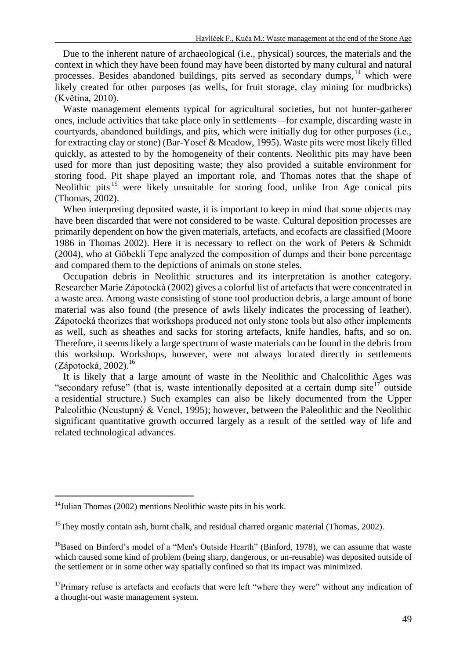Due to the inherent nature of archaeological (i.e., physical) sources, the materials and the context in which they have been found may have been distorted by many cultural and natural processes. Besides abandoned buildings, pits served as secondary dumps, <sup>14</sup> which were likely created for other purposes (as wells, for fruit storage, clay mining for mudbricks) (Květina, 2010).

Waste management elements typical for agricultural societies, but not hunter-gatherer ones, include activities that take place only in settlements—for example, discarding waste in courtyards, abandoned buildings, and pits, which were initially dug for other purposes (i.e., for extracting clay or stone) (Bar-Yosef & Meadow, 1995). Waste pits were most likely filled quickly, as attested to by the homogeneity of their contents. Neolithic pits may have been used for more than just depositing waste; they also provided a suitable environment for storing food. Pit shape played an important role, and Thomas notes that the shape of Neolithic pits<sup>15</sup> were likely unsuitable for storing food, unlike Iron Age conical pits (Thomas, 2002).

When interpreting deposited waste, it is important to keep in mind that some objects may have been discarded that were not considered to be waste. Cultural deposition processes are primarily dependent on how the given materials, artefacts, and ecofacts are classified (Moore 1986 in Thomas 2002). Here it is necessary to reflect on the work of Peters & Schmidt (2004), who at Göbekli Tepe analyzed the composition of dumps and their bone percentage and compared them to the depictions of animals on stone steles.

Occupation debris in Neolithic structures and its interpretation is another category. Researcher Marie Zápotocká (2002) gives a colorful list of artefacts that were concentrated in a waste area. Among waste consisting of stone tool production debris, a large amount of bone material was also found (the presence of awls likely indicates the processing of leather). Zápotocká theorizes that workshops produced not only stone tools but also other implements as well, such as sheathes and sacks for storing artefacts, knife handles, hafts, and so on. Therefore, it seems likely a large spectrum of waste materials can be found in the debris from this workshop. Workshops, however, were not always located directly in settlements  $(Zápotocká, 2002).$ <sup>16</sup>

It is likely that a large amount of waste in the Neolithic and Chalcolithic Ages was "secondary refuse" (that is, waste intentionally deposited at a certain dump site<sup>17</sup> outside a residential structure.) Such examples can also be likely documented from the Upper Paleolithic (Neustupný & Vencl, 1995); however, between the Paleolithic and the Neolithic significant quantitative growth occurred largely as a result of the settled way of life and related technological advances.

 $14$ Julian Thomas (2002) mentions Neolithic waste pits in his work.

<sup>&</sup>lt;sup>15</sup>They mostly contain ash, burnt chalk, and residual charred organic material (Thomas, 2002).

<sup>&</sup>lt;sup>16</sup>Based on Binford's model of a "Men's Outside Hearth" (Binford, 1978), we can assume that waste which caused some kind of problem (being sharp, dangerous, or un-reusable) was deposited outside of the settlement or in some other way spatially confined so that its impact was minimized.

 $17$ Primary refuse is artefacts and ecofacts that were left "where they were" without any indication of a thought-out waste management system.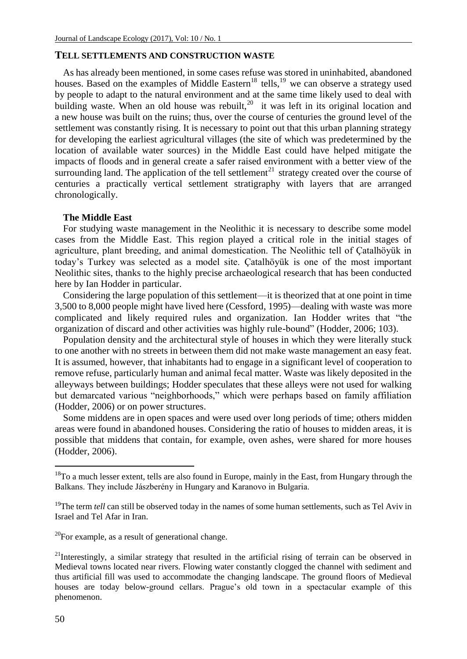### **TELL SETTLEMENTS AND CONSTRUCTION WASTE**

As has already been mentioned, in some cases refuse was stored in uninhabited, abandoned houses. Based on the examples of Middle Eastern<sup>18</sup> tells,<sup>19</sup> we can observe a strategy used by people to adapt to the natural environment and at the same time likely used to deal with building waste. When an old house was rebuilt,<sup>20</sup> it was left in its original location and a new house was built on the ruins; thus, over the course of centuries the ground level of the settlement was constantly rising. It is necessary to point out that this urban planning strategy for developing the earliest agricultural villages (the site of which was predetermined by the location of available water sources) in the Middle East could have helped mitigate the impacts of floods and in general create a safer raised environment with a better view of the surrounding land. The application of the tell settlement<sup>21</sup> strategy created over the course of centuries a practically vertical settlement stratigraphy with layers that are arranged chronologically.

#### **The Middle East**

For studying waste management in the Neolithic it is necessary to describe some model cases from the Middle East. This region played a critical role in the initial stages of agriculture, plant breeding, and animal domestication. The Neolithic tell of Çatalhöyük in today's Turkey was selected as a model site. Çatalhöyük is one of the most important Neolithic sites, thanks to the highly precise archaeological research that has been conducted here by Ian Hodder in particular.

Considering the large population of this settlement—it is theorized that at one point in time 3,500 to 8,000 people might have lived here (Cessford, 1995)—dealing with waste was more complicated and likely required rules and organization. Ian Hodder writes that "the organization of discard and other activities was highly rule-bound" (Hodder, 2006; 103).

Population density and the architectural style of houses in which they were literally stuck to one another with no streets in between them did not make waste management an easy feat. It is assumed, however, that inhabitants had to engage in a significant level of cooperation to remove refuse, particularly human and animal fecal matter. Waste was likely deposited in the alleyways between buildings; Hodder speculates that these alleys were not used for walking but demarcated various "neighborhoods," which were perhaps based on family affiliation (Hodder, 2006) or on power structures.

Some middens are in open spaces and were used over long periods of time; others midden areas were found in abandoned houses. Considering the ratio of houses to midden areas, it is possible that middens that contain, for example, oven ashes, were shared for more houses (Hodder, 2006).

 $^{20}$ For example, as a result of generational change.

 $18$ To a much lesser extent, tells are also found in Europe, mainly in the East, from Hungary through the Balkans. They include Jászberény in Hungary and Karanovo in Bulgaria.

<sup>&</sup>lt;sup>19</sup>The term *tell* can still be observed today in the names of some human settlements, such as Tel Aviv in Israel and Tel Afar in Iran.

 $2<sup>1</sup>$ Interestingly, a similar strategy that resulted in the artificial rising of terrain can be observed in Medieval towns located near rivers. Flowing water constantly clogged the channel with sediment and thus artificial fill was used to accommodate the changing landscape. The ground floors of Medieval houses are today below-ground cellars. Prague's old town in a spectacular example of this phenomenon.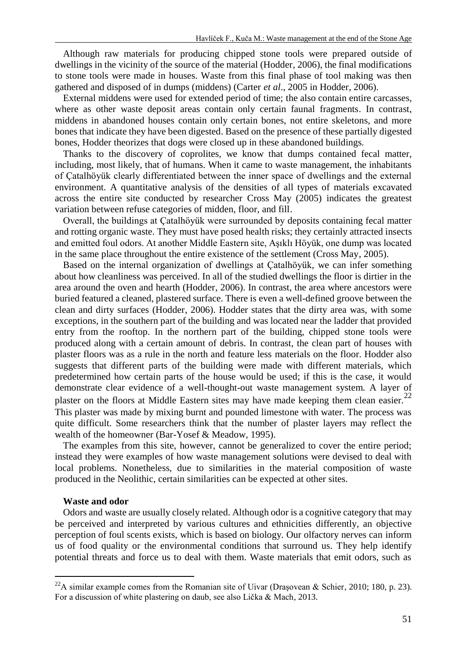Although raw materials for producing chipped stone tools were prepared outside of dwellings in the vicinity of the source of the material (Hodder, 2006), the final modifications to stone tools were made in houses. Waste from this final phase of tool making was then gathered and disposed of in dumps (middens) (Carter *et al*., 2005 in Hodder, 2006).

External middens were used for extended period of time; the also contain entire carcasses, where as other waste deposit areas contain only certain faunal fragments. In contrast, middens in abandoned houses contain only certain bones, not entire skeletons, and more bones that indicate they have been digested. Based on the presence of these partially digested bones, Hodder theorizes that dogs were closed up in these abandoned buildings.

Thanks to the discovery of coprolites, we know that dumps contained fecal matter, including, most likely, that of humans. When it came to waste management, the inhabitants of Çatalhöyük clearly differentiated between the inner space of dwellings and the external environment. A quantitative analysis of the densities of all types of materials excavated across the entire site conducted by researcher Cross May (2005) indicates the greatest variation between refuse categories of midden, floor, and fill.

Overall, the buildings at Çatalhöyük were surrounded by deposits containing fecal matter and rotting organic waste. They must have posed health risks; they certainly attracted insects and emitted foul odors. At another Middle Eastern site, Aşıklı Höyük, one dump was located in the same place throughout the entire existence of the settlement (Cross May, 2005).

Based on the internal organization of dwellings at Çatalhöyük, we can infer something about how cleanliness was perceived. In all of the studied dwellings the floor is dirtier in the area around the oven and hearth (Hodder, 2006). In contrast, the area where ancestors were buried featured a cleaned, plastered surface. There is even a well-defined groove between the clean and dirty surfaces (Hodder, 2006). Hodder states that the dirty area was, with some exceptions, in the southern part of the building and was located near the ladder that provided entry from the rooftop. In the northern part of the building, chipped stone tools were produced along with a certain amount of debris. In contrast, the clean part of houses with plaster floors was as a rule in the north and feature less materials on the floor. Hodder also suggests that different parts of the building were made with different materials, which predetermined how certain parts of the house would be used; if this is the case, it would demonstrate clear evidence of a well-thought-out waste management system. A layer of plaster on the floors at Middle Eastern sites may have made keeping them clean easier.<sup>22</sup> This plaster was made by mixing burnt and pounded limestone with water. The process was quite difficult. Some researchers think that the number of plaster layers may reflect the wealth of the homeowner (Bar-Yosef & Meadow, 1995).

The examples from this site, however, cannot be generalized to cover the entire period; instead they were examples of how waste management solutions were devised to deal with local problems. Nonetheless, due to similarities in the material composition of waste produced in the Neolithic, certain similarities can be expected at other sites.

#### **Waste and odor**

 $\overline{a}$ 

Odors and waste are usually closely related. Although odor is a cognitive category that may be perceived and interpreted by various cultures and ethnicities differently, an objective perception of foul scents exists, which is based on biology. Our olfactory nerves can inform us of food quality or the environmental conditions that surround us. They help identify potential threats and force us to deal with them. Waste materials that emit odors, such as

 $^{22}$ A similar example comes from the Romanian site of Uivar (Drașovean & Schier, 2010; 180, p. 23). For a discussion of white plastering on daub, see also Lička & Mach, 2013.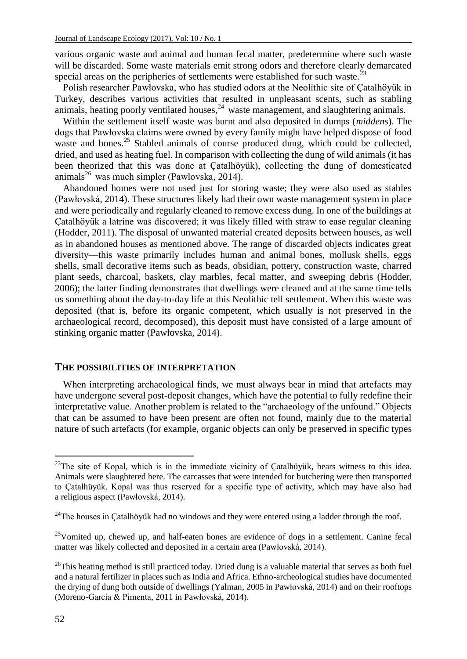various organic waste and animal and human fecal matter, predetermine where such waste will be discarded. Some waste materials emit strong odors and therefore clearly demarcated special areas on the peripheries of settlements were established for such waste.<sup>23</sup>

Polish researcher Pawłovska, who has studied odors at the Neolithic site of Çatalhöyük in Turkey, describes various activities that resulted in unpleasant scents, such as stabling animals, heating poorly ventilated houses,  $24$  waste management, and slaughtering animals.

Within the settlement itself waste was burnt and also deposited in dumps (*middens*). The dogs that Pawłovska claims were owned by every family might have helped dispose of food waste and bones.<sup>25</sup> Stabled animals of course produced dung, which could be collected, dried, and used as heating fuel. In comparison with collecting the dung of wild animals (it has been theorized that this was done at Çatalhöyük), collecting the dung of domesticated animals<sup>26</sup> was much simpler (Pawłovska, 2014).

Abandoned homes were not used just for storing waste; they were also used as stables (Pawłovská, 2014). These structures likely had their own waste management system in place and were periodically and regularly cleaned to remove excess dung. In one of the buildings at Çatalhöyük a latrine was discovered; it was likely filled with straw to ease regular cleaning (Hodder, 2011). The disposal of unwanted material created deposits between houses, as well as in abandoned houses as mentioned above. The range of discarded objects indicates great diversity—this waste primarily includes human and animal bones, mollusk shells, eggs shells, small decorative items such as beads, obsidian, pottery, construction waste, charred plant seeds, charcoal, baskets, clay marbles, fecal matter, and sweeping debris (Hodder, 2006); the latter finding demonstrates that dwellings were cleaned and at the same time tells us something about the day-to-day life at this Neolithic tell settlement. When this waste was deposited (that is, before its organic competent, which usually is not preserved in the archaeological record, decomposed), this deposit must have consisted of a large amount of stinking organic matter (Pawłovska, 2014).

### **THE POSSIBILITIES OF INTERPRETATION**

When interpreting archaeological finds, we must always bear in mind that artefacts may have undergone several post-deposit changes, which have the potential to fully redefine their interpretative value. Another problem is related to the "archaeology of the unfound." Objects that can be assumed to have been present are often not found, mainly due to the material nature of such artefacts (for example, organic objects can only be preserved in specific types

l

 $23$ The site of Kopal, which is in the immediate vicinity of Çatalhüyük, bears witness to this idea. Animals were slaughtered here. The carcasses that were intended for butchering were then transported to Çatalhüyük. Kopal was thus reserved for a specific type of activity, which may have also had a religious aspect (Pawłovská, 2014).

 $24$ The houses in Çatalhöyük had no windows and they were entered using a ladder through the roof.

 $25$ Vomited up, chewed up, and half-eaten bones are evidence of dogs in a settlement. Canine fecal matter was likely collected and deposited in a certain area (Pawłovská, 2014).

 $^{26}$ This heating method is still practiced today. Dried dung is a valuable material that serves as both fuel and a natural fertilizer in places such as India and Africa. Ethno-archeological studies have documented the drying of dung both outside of dwellings (Yalman, 2005 in Pawłovská, 2014) and on their rooftops (Moreno-García & Pimenta, 2011 in Pawłovská, 2014).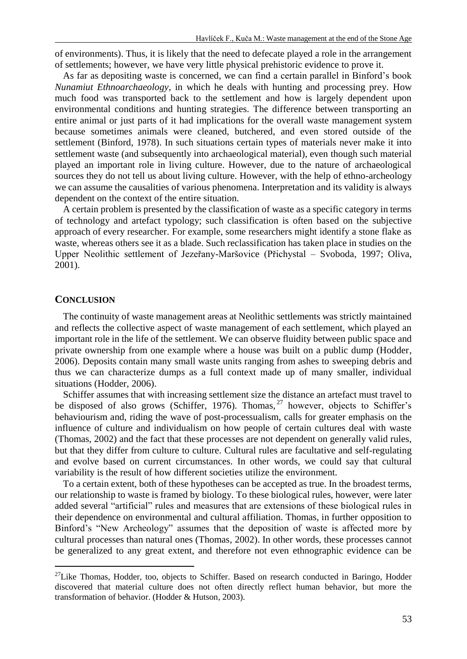of environments). Thus, it is likely that the need to defecate played a role in the arrangement of settlements; however, we have very little physical prehistoric evidence to prove it.

As far as depositing waste is concerned, we can find a certain parallel in Binford's book *Nunamiut Ethnoarchaeology*, in which he deals with hunting and processing prey. How much food was transported back to the settlement and how is largely dependent upon environmental conditions and hunting strategies. The difference between transporting an entire animal or just parts of it had implications for the overall waste management system because sometimes animals were cleaned, butchered, and even stored outside of the settlement (Binford, 1978). In such situations certain types of materials never make it into settlement waste (and subsequently into archaeological material), even though such material played an important role in living culture. However, due to the nature of archaeological sources they do not tell us about living culture. However, with the help of ethno-archeology we can assume the causalities of various phenomena. Interpretation and its validity is always dependent on the context of the entire situation.

A certain problem is presented by the classification of waste as a specific category in terms of technology and artefact typology; such classification is often based on the subjective approach of every researcher. For example, some researchers might identify a stone flake as waste, whereas others see it as a blade. Such reclassification has taken place in studies on the Upper Neolithic settlement of Jezeřany-Maršovice (Přichystal – Svoboda, 1997; Oliva, 2001).

#### **CONCLUSION**

 $\overline{a}$ 

The continuity of waste management areas at Neolithic settlements was strictly maintained and reflects the collective aspect of waste management of each settlement, which played an important role in the life of the settlement. We can observe fluidity between public space and private ownership from one example where a house was built on a public dump (Hodder, 2006). Deposits contain many small waste units ranging from ashes to sweeping debris and thus we can characterize dumps as a full context made up of many smaller, individual situations (Hodder, 2006).

Schiffer assumes that with increasing settlement size the distance an artefact must travel to be disposed of also grows (Schiffer, 1976). Thomas,  $^{27}$  however, objects to Schiffer's behaviourism and, riding the wave of post-processualism, calls for greater emphasis on the influence of culture and individualism on how people of certain cultures deal with waste (Thomas, 2002) and the fact that these processes are not dependent on generally valid rules, but that they differ from culture to culture. Cultural rules are facultative and self-regulating and evolve based on current circumstances. In other words, we could say that cultural variability is the result of how different societies utilize the environment.

To a certain extent, both of these hypotheses can be accepted as true. In the broadest terms, our relationship to waste is framed by biology. To these biological rules, however, were later added several "artificial" rules and measures that are extensions of these biological rules in their dependence on environmental and cultural affiliation. Thomas, in further opposition to Binford's "New Archeology" assumes that the deposition of waste is affected more by cultural processes than natural ones (Thomas, 2002). In other words, these processes cannot be generalized to any great extent, and therefore not even ethnographic evidence can be

<sup>&</sup>lt;sup>27</sup>Like Thomas, Hodder, too, objects to Schiffer. Based on research conducted in Baringo, Hodder discovered that material culture does not often directly reflect human behavior, but more the transformation of behavior. (Hodder & Hutson, 2003).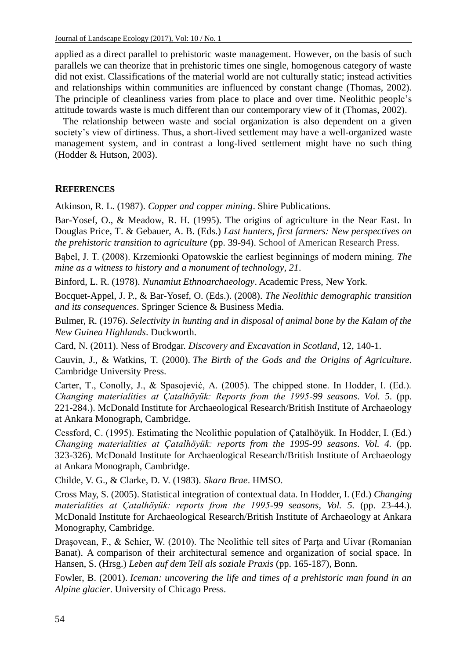applied as a direct parallel to prehistoric waste management. However, on the basis of such parallels we can theorize that in prehistoric times one single, homogenous category of waste did not exist. Classifications of the material world are not culturally static; instead activities and relationships within communities are influenced by constant change (Thomas, 2002). The principle of cleanliness varies from place to place and over time. Neolithic people's attitude towards waste is much different than our contemporary view of it (Thomas, 2002).

The relationship between waste and social organization is also dependent on a given society's view of dirtiness. Thus, a short-lived settlement may have a well-organized waste management system, and in contrast a long-lived settlement might have no such thing (Hodder & Hutson, 2003).

## **REFERENCES**

Atkinson, R. L. (1987). *Copper and copper mining*. Shire Publications.

Bar-Yosef, O., & Meadow, R. H. (1995). The origins of agriculture in the Near East. In Douglas Price, T. & Gebauer, A. B. (Eds.) *Last hunters, first farmers: New perspectives on the prehistoric transition to agriculture* (pp. 39-94). School of American Research Press.

Bąbel, J. T. (2008). Krzemionki Opatowskie the earliest beginnings of modern mining. *The mine as a witness to history and a monument of technology*, *21*.

Binford, L. R. (1978). *Nunamiut Ethnoarchaeology*. Academic Press, New York.

Bocquet-Appel, J. P., & Bar-Yosef, O. (Eds.). (2008). *The Neolithic demographic transition and its consequences*. Springer Science & Business Media.

Bulmer, R. (1976). *Selectivity in hunting and in disposal of animal bone by the Kalam of the New Guinea Highlands*. Duckworth.

Card, N. (2011). Ness of Brodgar. *Discovery and Excavation in Scotland*, 12, 140-1.

Cauvin, J., & Watkins, T. (2000). *The Birth of the Gods and the Origins of Agriculture*. Cambridge University Press.

Carter, T., Conolly, J., & Spasojević, A. (2005). The chipped stone. In Hodder, I. (Ed.). *Changing materialities at Çatalhöyük: Reports from the 1995-99 seasons*. *Vol. 5*. (pp. 221-284.). McDonald Institute for Archaeological Research/British Institute of Archaeology at Ankara Monograph, Cambridge.

Cessford, C. (1995). Estimating the Neolithic population of Çatalhöyük. In Hodder, I. (Ed.) *Changing materialities at Çatalhöyük: reports from the 1995-99 seasons*. *Vol. 4.* (pp. 323-326). McDonald Institute for Archaeological Research/British Institute of Archaeology at Ankara Monograph, Cambridge.

Childe, V. G., & Clarke, D. V. (1983). *Skara Brae*. HMSO.

Cross May, S. (2005). Statistical integration of contextual data. In Hodder, I. (Ed.) *Changing materialities at Çatalhöyük: reports from the 1995-99 seasons*, *Vol. 5.* (pp. 23-44.). McDonald Institute for Archaeological Research/British Institute of Archaeology at Ankara Monography, Cambridge.

Drasovean, F., & Schier, W. (2010). The Neolithic tell sites of Parta and Uivar (Romanian Banat). A comparison of their architectural semence and organization of social space. In Hansen, S. (Hrsg.) *Leben auf dem Tell als soziale Praxis* (pp. 165-187), Bonn.

Fowler, B. (2001). *Iceman: uncovering the life and times of a prehistoric man found in an Alpine glacier*. University of Chicago Press.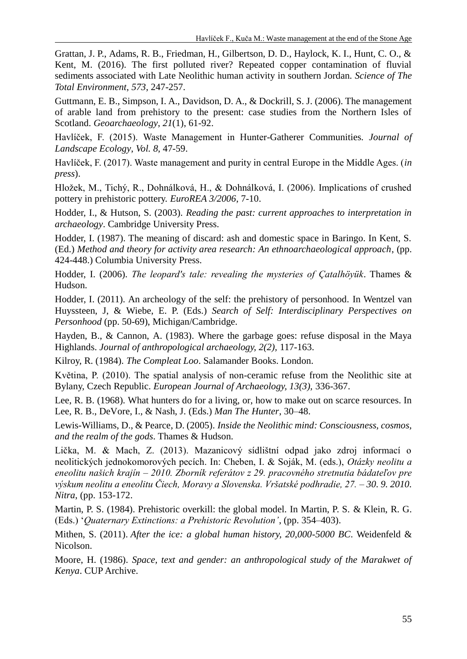Grattan, J. P., Adams, R. B., Friedman, H., Gilbertson, D. D., Haylock, K. I., Hunt, C. O., & Kent, M. (2016). The first polluted river? Repeated copper contamination of fluvial sediments associated with Late Neolithic human activity in southern Jordan. *Science of The Total Environment*, *573*, 247-257.

Guttmann, E. B., Simpson, I. A., Davidson, D. A., & Dockrill, S. J. (2006). The management of arable land from prehistory to the present: case studies from the Northern Isles of Scotland. *Geoarchaeology*, *21*(1), 61-92.

Havlíček, F. (2015). Waste Management in Hunter-Gatherer Communities. *Journal of Landscape Ecology*, *Vol. 8*, 47-59.

Havlíček, F. (2017). Waste management and purity in central Europe in the Middle Ages. (*in press*).

Hložek, M., Tichý, R., Dohnálková, H., & Dohnálková, I. (2006). Implications of crushed pottery in prehistoric pottery. *EuroREA 3/2006*, 7-10.

Hodder, I., & Hutson, S. (2003). *Reading the past: current approaches to interpretation in archaeology*. Cambridge University Press.

Hodder, I. (1987). The meaning of discard: ash and domestic space in Baringo. In Kent, S. (Ed.) *Method and theory for activity area research: An ethnoarchaeological approach*, (pp. 424-448.) Columbia University Press.

Hodder, I. (2006). *The leopard's tale: revealing the mysteries of Çatalhöyük*. Thames & Hudson.

Hodder, I. (2011). An archeology of the self: the prehistory of personhood. In Wentzel van Huyssteen, J, & Wiebe, E. P. (Eds.) *Search of Self: Interdisciplinary Perspectives on Personhood* (pp. 50-69), Michigan/Cambridge.

Hayden, B., & Cannon, A. (1983). Where the garbage goes: refuse disposal in the Maya Highlands. *Journal of anthropological archaeology, 2(2),* 117-163.

Kilroy, R. (1984). *The Compleat Loo*. Salamander Books. London.

Květina, P. (2010). The spatial analysis of non-ceramic refuse from the Neolithic site at Bylany, Czech Republic. *European Journal of Archaeology, 13(3),* 336-367.

Lee, R. B. (1968). What hunters do for a living, or, how to make out on scarce resources. In Lee, R. B., DeVore, I., & Nash, J. (Eds.) *Man The Hunter*, 30–48.

Lewis-Williams, D., & Pearce, D. (2005). *Inside the Neolithic mind: Consciousness, cosmos, and the realm of the gods.* Thames & Hudson.

Lička, M. & Mach, Z. (2013). Mazanicový sídlištní odpad jako zdroj informací o neolitických jednokomorových pecích. In: Cheben, I. & Soják, M. (eds.), *Otázky neolitu a eneolitu našich krajín – 2010. Zborník referátov z 29. pracovného stretnutia bádateľov pre výskum neolitu a eneolitu Čiech, Moravy a Slovenska. Vršatské podhradie, 27. – 30. 9. 2010. Nitra*, (pp. 153-172.

Martin, P. S. (1984). Prehistoric overkill: the global model. In Martin, P. S. & Klein, R. G. (Eds.) '*Quaternary Extinctions: a Prehistoric Revolution'*, (pp. 354–403).

Mithen, S. (2011). *After the ice: a global human history, 20,000-5000 BC*. Weidenfeld & Nicolson.

Moore, H. (1986). *Space, text and gender: an anthropological study of the Marakwet of Kenya*. CUP Archive.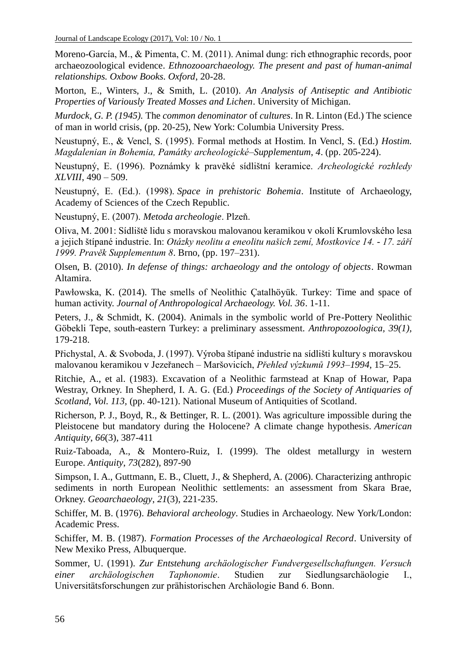Moreno-García, M., & Pimenta, C. M. (2011). Animal dung: rich ethnographic records, poor archaeozoological evidence. *Ethnozooarchaeology. The present and past of human-animal relationships. Oxbow Books. Oxford*, 20-28.

Morton, E., Winters, J., & Smith, L. (2010). *An Analysis of Antiseptic and Antibiotic Properties of Variously Treated Mosses and Lichen*. University of Michigan.

*Murdock, G. P. (1945).* The *common denominator* of *cultures*. In R. Linton (Ed.) The science of man in world crisis, (pp. 20-25), New York: Columbia University Press.

Neustupný, E., & Vencl, S. (1995). Formal methods at Hostim. In Vencl, S. (Ed.) *Hostim. Magdalenian in Bohemia, Památky archeologické–Supplementum*, *4*. (pp. 205-224).

Neustupný, E. (1996). Poznámky k pravěké sídlištní keramice. *Archeologické rozhledy XLVIII*, 490 – 509.

Neustupný, E. (Ed.). (1998). *Space in prehistoric Bohemia*. Institute of Archaeology, Academy of Sciences of the Czech Republic.

Neustupný, E. (2007). *Metoda archeologie*. Plzeň.

Oliva, M. 2001: Sídliště lidu s moravskou malovanou keramikou v okolí Krumlovského lesa a jejich štípané industrie. In: *Otázky neolitu a eneolitu našich zemí, Mostkovice 14. - 17. září 1999. Pravěk Supplementum 8*. Brno, (pp. 197–231).

Olsen, B. (2010). *In defense of things: archaeology and the ontology of objects*. Rowman Altamira.

Pawłowska, K. (2014). The smells of Neolithic Çatalhöyük. Turkey: Time and space of human activity. *Journal of Anthropological Archaeology. Vol. 36*. 1-11.

Peters, J., & Schmidt, K. (2004). Animals in the symbolic world of Pre-Pottery Neolithic Göbekli Tepe, south-eastern Turkey: a preliminary assessment. *Anthropozoologica, 39(1),* 179-218.

Přichystal, A. & Svoboda, J. (1997). Výroba štípané industrie na sídlišti kultury s moravskou malovanou keramikou v Jezeřanech – Maršovicích, *Přehled výzkumů 1993–1994*, 15–25.

Ritchie, A., et al. (1983). Excavation of a Neolithic farmstead at Knap of Howar, Papa Westray, Orkney. In Shepherd, I. A. G. (Ed.) *Proceedings of the Society of Antiquaries of Scotland*, *Vol. 113,* (pp. 40-121). National Museum of Antiquities of Scotland.

Richerson, P. J., Boyd, R., & Bettinger, R. L. (2001). Was agriculture impossible during the Pleistocene but mandatory during the Holocene? A climate change hypothesis. *American Antiquity*, *66*(3), 387-411

Ruiz-Taboada, A., & Montero-Ruiz, I. (1999). The oldest metallurgy in western Europe. *Antiquity*, *73*(282), 897-90

Simpson, I. A., Guttmann, E. B., Cluett, J., & Shepherd, A. (2006). Characterizing anthropic sediments in north European Neolithic settlements: an assessment from Skara Brae, Orkney. *Geoarchaeology*, *21*(3), 221-235.

Schiffer, M. B. (1976). *Behavioral archeology*. Studies in Archaeology. New York/London: Academic Press.

Schiffer, M. B. (1987). *Formation Processes of the Archaeological Record*. University of New Mexiko Press, Albuquerque.

Sommer, U. (1991). *Zur Entstehung archäologischer Fundvergesellschaftungen. Versuch einer archäologischen Taphonomie*. Studien zur Siedlungsarchäologie I., Universitätsforschungen zur prähistorischen Archäologie Band 6. Bonn.